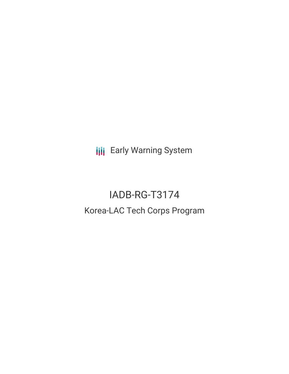**III** Early Warning System

# IADB-RG-T3174 Korea-LAC Tech Corps Program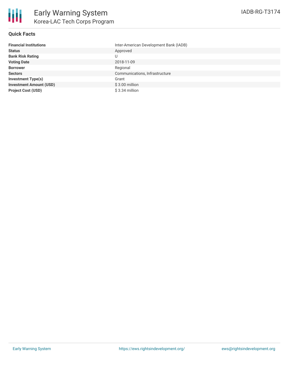

#### **Quick Facts**

| <b>Financial Institutions</b>  | Inter-American Development Bank (IADB) |
|--------------------------------|----------------------------------------|
| <b>Status</b>                  | Approved                               |
| <b>Bank Risk Rating</b>        | U                                      |
| <b>Voting Date</b>             | 2018-11-09                             |
| <b>Borrower</b>                | Regional                               |
| <b>Sectors</b>                 | Communications, Infrastructure         |
| <b>Investment Type(s)</b>      | Grant                                  |
| <b>Investment Amount (USD)</b> | $$3.00$ million                        |
| <b>Project Cost (USD)</b>      | $$3.34$ million                        |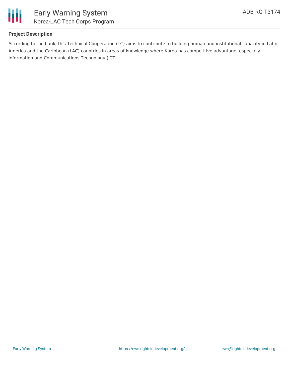

#### **Project Description**

According to the bank, this Technical Cooperation (TC) aims to contribute to building human and institutional capacity in Latin America and the Caribbean (LAC) countries in areas of knowledge where Korea has competitive advantage, especially Information and Communications Technology (ICT).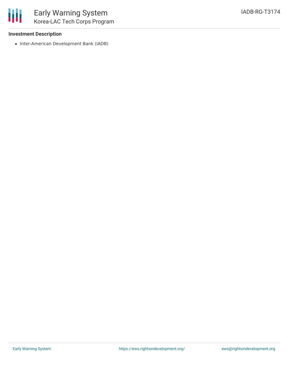

## **Investment Description**

• Inter-American Development Bank (IADB)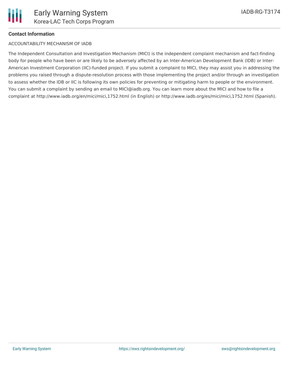#### **Contact Information**

#### ACCOUNTABILITY MECHANISM OF IADB

The Independent Consultation and Investigation Mechanism (MICI) is the independent complaint mechanism and fact-finding body for people who have been or are likely to be adversely affected by an Inter-American Development Bank (IDB) or Inter-American Investment Corporation (IIC)-funded project. If you submit a complaint to MICI, they may assist you in addressing the problems you raised through a dispute-resolution process with those implementing the project and/or through an investigation to assess whether the IDB or IIC is following its own policies for preventing or mitigating harm to people or the environment. You can submit a complaint by sending an email to MICI@iadb.org. You can learn more about the MICI and how to file a complaint at http://www.iadb.org/en/mici/mici,1752.html (in English) or http://www.iadb.org/es/mici/mici,1752.html (Spanish).